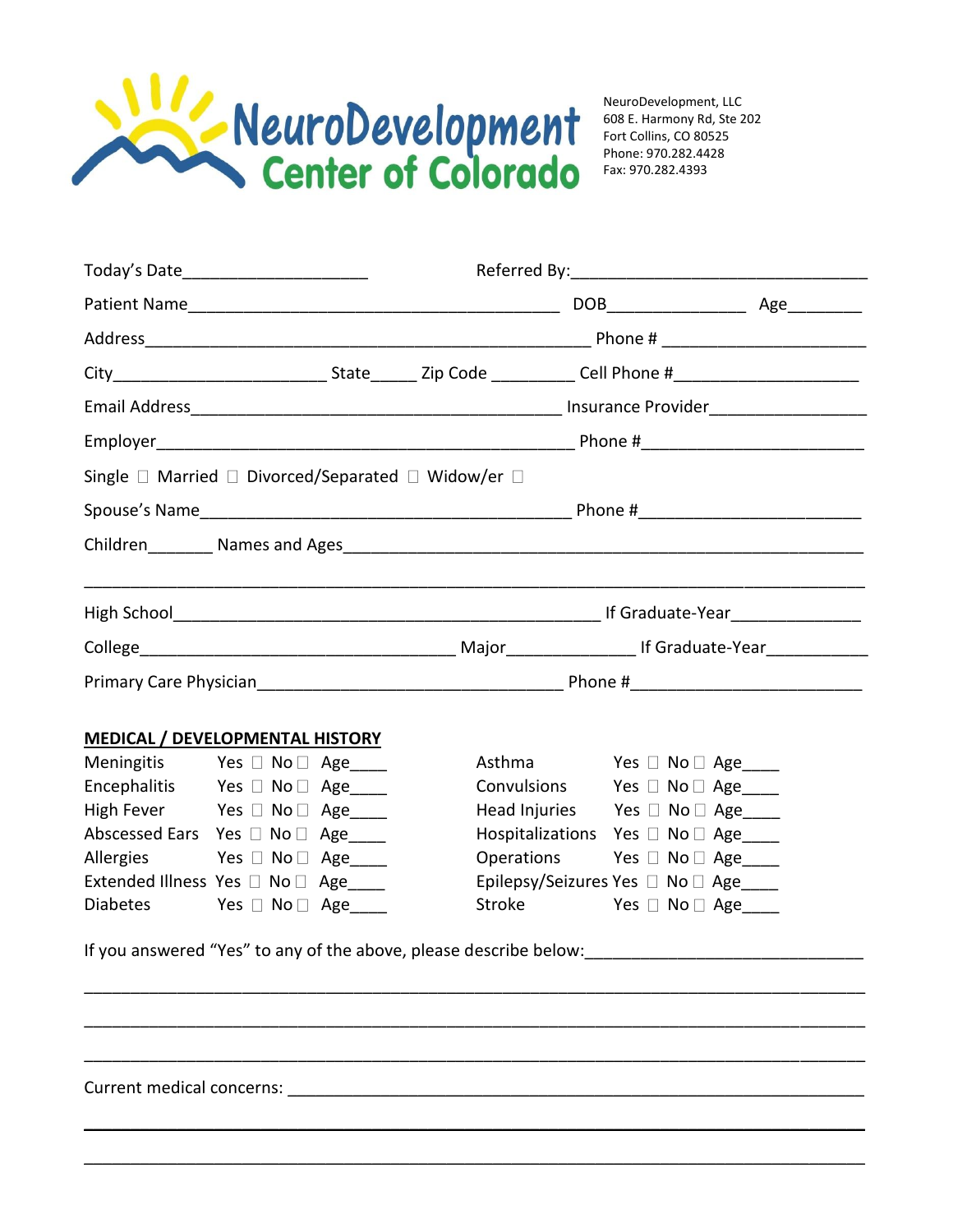

NeuroDevelopment, LLC 608 E. Harmony Rd, Ste 202 Fort Collins, CO 80525 Phone: 970.282.4428 Fax: 970.282.4393

| Today's Date_________________________                                  |  |  |                                                                   |                                      |  |  |
|------------------------------------------------------------------------|--|--|-------------------------------------------------------------------|--------------------------------------|--|--|
|                                                                        |  |  |                                                                   |                                      |  |  |
|                                                                        |  |  |                                                                   |                                      |  |  |
|                                                                        |  |  |                                                                   |                                      |  |  |
|                                                                        |  |  |                                                                   |                                      |  |  |
|                                                                        |  |  |                                                                   |                                      |  |  |
| Single $\Box$ Married $\Box$ Divorced/Separated $\Box$ Widow/er $\Box$ |  |  |                                                                   |                                      |  |  |
|                                                                        |  |  |                                                                   |                                      |  |  |
|                                                                        |  |  |                                                                   |                                      |  |  |
|                                                                        |  |  |                                                                   |                                      |  |  |
|                                                                        |  |  |                                                                   |                                      |  |  |
|                                                                        |  |  |                                                                   |                                      |  |  |
|                                                                        |  |  |                                                                   |                                      |  |  |
| MEDICAL / DEVELOPMENTAL HISTORY                                        |  |  |                                                                   |                                      |  |  |
| Meningitis Yes D No D Age_____                                         |  |  |                                                                   | Asthma Yes □ No □ Age____            |  |  |
| Encephalitis Yes □ No □ Age                                            |  |  |                                                                   | Convulsions Yes □ No □ Age           |  |  |
| High Fever Yes D No D Age____                                          |  |  |                                                                   | Head Injuries Yes □ No □ Age         |  |  |
| Abscessed Ears Yes □ No □ Age____                                      |  |  |                                                                   | Hospitalizations Yes □ No □ Age____  |  |  |
| Allergies Yes No D Age                                                 |  |  |                                                                   | Operations Yes □ No □ Age            |  |  |
| Extended Illness Yes □ No □ Age____                                    |  |  |                                                                   | Epilepsy/Seizures Yes □ No □ Age____ |  |  |
| Diabetes Yes No Age____                                                |  |  | If you answered "Yes" to any of the above, please describe below: | Stroke Yes □ No □ Age____            |  |  |
|                                                                        |  |  |                                                                   |                                      |  |  |
|                                                                        |  |  |                                                                   |                                      |  |  |
|                                                                        |  |  |                                                                   |                                      |  |  |
|                                                                        |  |  |                                                                   |                                      |  |  |

\_\_\_\_\_\_\_\_\_\_\_\_\_\_\_\_\_\_\_\_\_\_\_\_\_\_\_\_\_\_\_\_\_\_\_\_\_\_\_\_\_\_\_\_\_\_\_\_\_\_\_\_\_\_\_\_\_\_\_\_\_\_\_\_\_\_\_\_\_\_\_\_\_\_\_\_\_\_\_\_\_\_\_\_

 $\mathcal{L} = \{ \mathcal{L} = \{ \mathcal{L} = \{ \mathcal{L} = \mathcal{L} \} \mid \mathcal{L} = \{ \mathcal{L} = \{ \mathcal{L} = \mathcal{L} \} \mid \mathcal{L} = \{ \mathcal{L} = \{ \mathcal{L} = \mathcal{L} = \mathcal{L} \} \mid \mathcal{L} = \{ \mathcal{L} = \{ \mathcal{L} = \mathcal{L} = \mathcal{L} = \mathcal{L} \} \mid \mathcal{L} = \{ \mathcal{L} = \{ \mathcal{L} = \mathcal{L} = \mathcal{L} = \mathcal{L} \} \mid \$